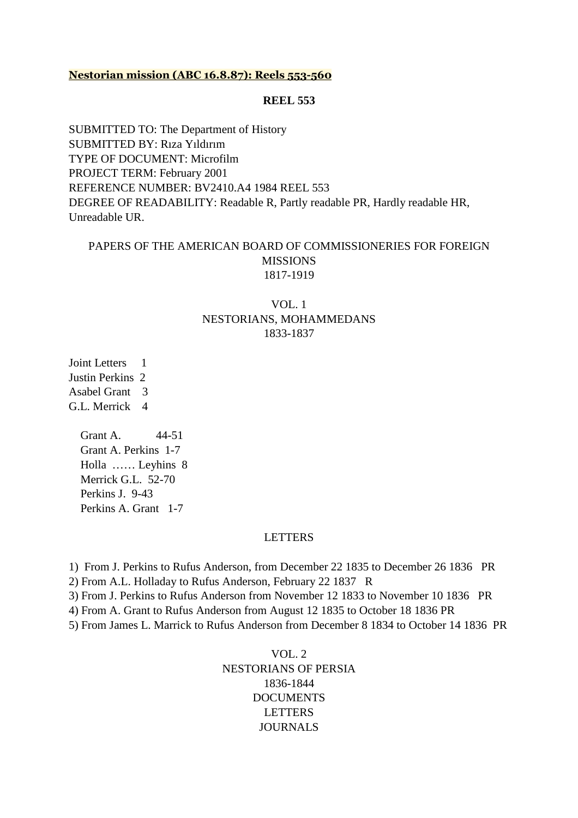#### **Nestorian mission (ABC 16.8.87): Reels 553-560**

#### **REEL 553**

SUBMITTED TO: The Department of History SUBMITTED BY: Rıza Yıldırım TYPE OF DOCUMENT: Microfilm PROJECT TERM: February 2001 REFERENCE NUMBER: BV2410.A4 1984 REEL 553 DEGREE OF READABILITY: Readable R, Partly readable PR, Hardly readable HR, Unreadable UR.

### PAPERS OF THE AMERICAN BOARD OF COMMISSIONERIES FOR FOREIGN MISSIONS 1817-1919

## VOL. 1 NESTORIANS, MOHAMMEDANS 1833-1837

Joint Letters 1 Justin Perkins 2 Asabel Grant 3 G.L. Merrick 4

> Grant A. 44-51 Grant A. Perkins 1-7 Holla …… Leyhins 8 Merrick G.L. 52-70 Perkins J. 9-43 Perkins A. Grant 1-7

#### **LETTERS**

1) From J. Perkins to Rufus Anderson, from December 22 1835 to December 26 1836 PR

2) From A.L. Holladay to Rufus Anderson, February 22 1837 R

3) From J. Perkins to Rufus Anderson from November 12 1833 to November 10 1836 PR

4) From A. Grant to Rufus Anderson from August 12 1835 to October 18 1836 PR

5) From James L. Marrick to Rufus Anderson from December 8 1834 to October 14 1836 PR

VOL. 2 NESTORIANS OF PERSIA 1836-1844 **DOCUMENTS LETTERS** JOURNALS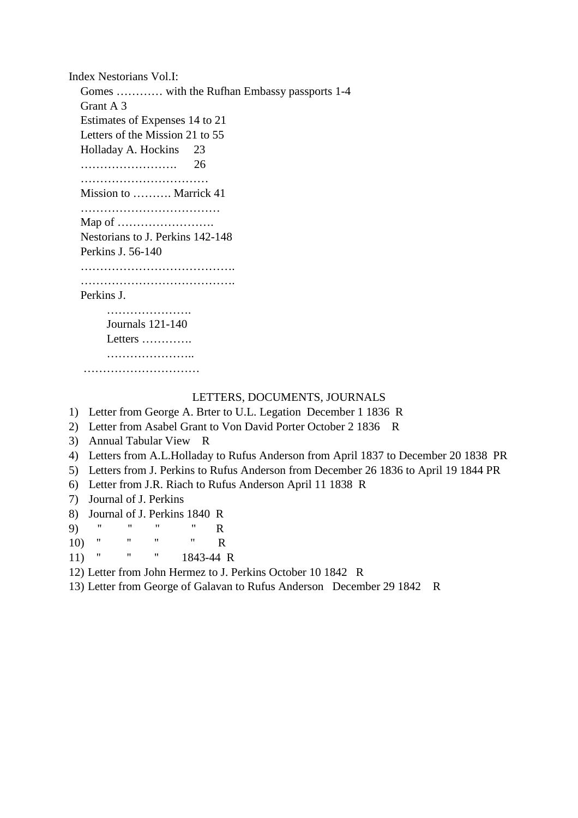Index Nestorians Vol.I: Gomes ………… with the Rufhan Embassy passports 1-4 Grant A 3 Estimates of Expenses 14 to 21 Letters of the Mission 21 to 55 Holladay A. Hockins 23 ……………………. 26 ……………………………………… Mission to ………. Marrick 41 ……………………………… Map of ……………………. Nestorians to J. Perkins 142-148 Perkins J. 56-140 …………………………………………… ………………………………………… Perkins J. ……………………… Journals 121-140 Letters ………….

### LETTERS, DOCUMENTS, JOURNALS

1) Letter from George A. Brter to U.L. Legation December 1 1836 R

- 2) Letter from Asabel Grant to Von David Porter October 2 1836 R
- 3) Annual Tabular View R

……………………… ………………………………

- 4) Letters from A.L.Holladay to Rufus Anderson from April 1837 to December 20 1838 PR
- 5) Letters from J. Perkins to Rufus Anderson from December 26 1836 to April 19 1844 PR
- 6) Letter from J.R. Riach to Rufus Anderson April 11 1838 R
- 7) Journal of J. Perkins
- 8) Journal of J. Perkins 1840 R

9) '' '' '' '' R

- 10) " " "  $R$
- 11) '' '' '' 1843-44 R

12) Letter from John Hermez to J. Perkins October 10 1842 R

13) Letter from George of Galavan to Rufus Anderson December 29 1842 R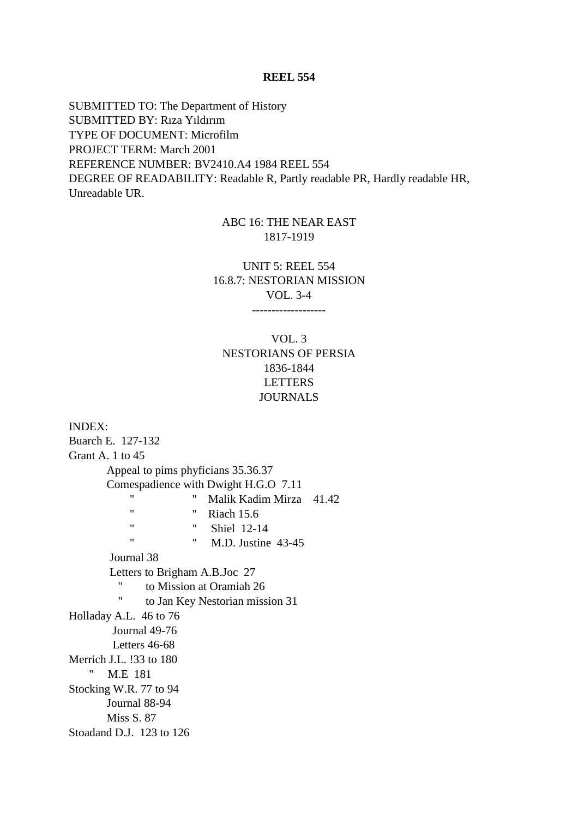SUBMITTED TO: The Department of History SUBMITTED BY: Rıza Yıldırım TYPE OF DOCUMENT: Microfilm PROJECT TERM: March 2001 REFERENCE NUMBER: BV2410.A4 1984 REEL 554 DEGREE OF READABILITY: Readable R, Partly readable PR, Hardly readable HR, Unreadable UR.

## ABC 16: THE NEAR EAST 1817-1919

UNIT 5: REEL 554 16.8.7: NESTORIAN MISSION VOL. 3-4

-------------------

# VOL. 3 NESTORIANS OF PERSIA 1836-1844 LETTERS JOURNALS

INDEX: Buarch E. 127-132 Grant A. 1 to 45 Appeal to pims phyficians 35.36.37 Comespadience with Dwight H.G.O 7.11 '' '' Malik Kadim Mirza 41.42 " **Riach 15.6**  '' '' Shiel 12-14 " M.D. Justine 43-45 Journal 38 Letters to Brigham A.B.Joc 27 '' to Mission at Oramiah 26 '' to Jan Key Nestorian mission 31 Holladay A.L. 46 to 76 Journal 49-76 Letters 46-68 Merrich J.L. !33 to 180 '' M.E 181 Stocking W.R. 77 to 94 Journal 88-94 Miss S. 87 Stoadand D.J. 123 to 126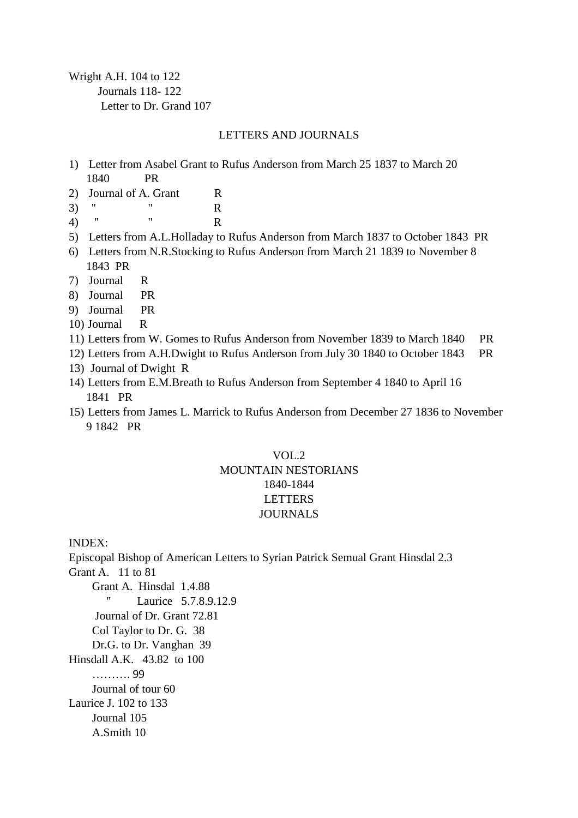Wright A.H. 104 to 122 Journals 118- 122 Letter to Dr. Grand 107

### LETTERS AND JOURNALS

- 1) Letter from Asabel Grant to Rufus Anderson from March 25 1837 to March 20 1840 PR
- 2) Journal of A. Grant R
- 3) "  $\qquad \qquad \mathbb{R}$ <br>
(A) " "  $\qquad \qquad \mathbb{R}$
- 4) '' '' R
- 5) Letters from A.L.Holladay to Rufus Anderson from March 1837 to October 1843 PR
- 6) Letters from N.R.Stocking to Rufus Anderson from March 21 1839 to November 8 1843 PR
- 7) Journal R
- 8) Journal PR
- 9) Journal PR
- 10) Journal R
- 11) Letters from W. Gomes to Rufus Anderson from November 1839 to March 1840 PR
- 12) Letters from A.H.Dwight to Rufus Anderson from July 30 1840 to October 1843 PR
- 13) Journal of Dwight R
- 14) Letters from E.M.Breath to Rufus Anderson from September 4 1840 to April 16 1841 PR
- 15) Letters from James L. Marrick to Rufus Anderson from December 27 1836 to November 9 1842 PR

# VOL.2 MOUNTAIN NESTORIANS 1840-1844 LETTERS JOURNALS

INDEX:

Episcopal Bishop of American Letters to Syrian Patrick Semual Grant Hinsdal 2.3 Grant A. 11 to 81 Grant A. Hinsdal 1.4.88 Laurice 5.7.8.9.12.9 Journal of Dr. Grant 72.81 Col Taylor to Dr. G. 38 Dr.G. to Dr. Vanghan 39 Hinsdall A.K. 43.82 to 100 ………. 99 Journal of tour 60 Laurice J. 102 to 133 Journal 105 A.Smith 10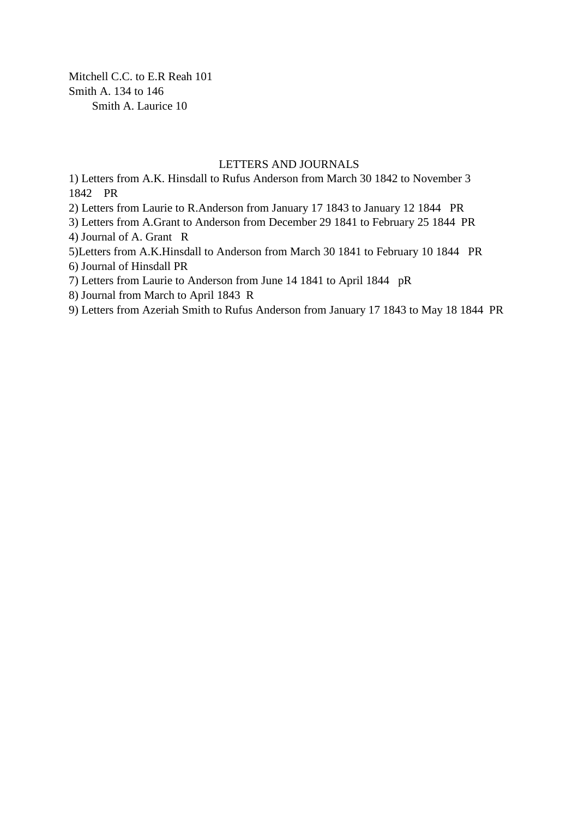Mitchell C.C. to E.R Reah 101 Smith A. 134 to 146 Smith A. Laurice 10

### LETTERS AND JOURNALS

1) Letters from A.K. Hinsdall to Rufus Anderson from March 30 1842 to November 3 1842 PR

2) Letters from Laurie to R.Anderson from January 17 1843 to January 12 1844 PR

3) Letters from A.Grant to Anderson from December 29 1841 to February 25 1844 PR 4) Journal of A. Grant R

5)Letters from A.K.Hinsdall to Anderson from March 30 1841 to February 10 1844 PR

6) Journal of Hinsdall PR

7) Letters from Laurie to Anderson from June 14 1841 to April 1844 pR

8) Journal from March to April 1843 R

9) Letters from Azeriah Smith to Rufus Anderson from January 17 1843 to May 18 1844 PR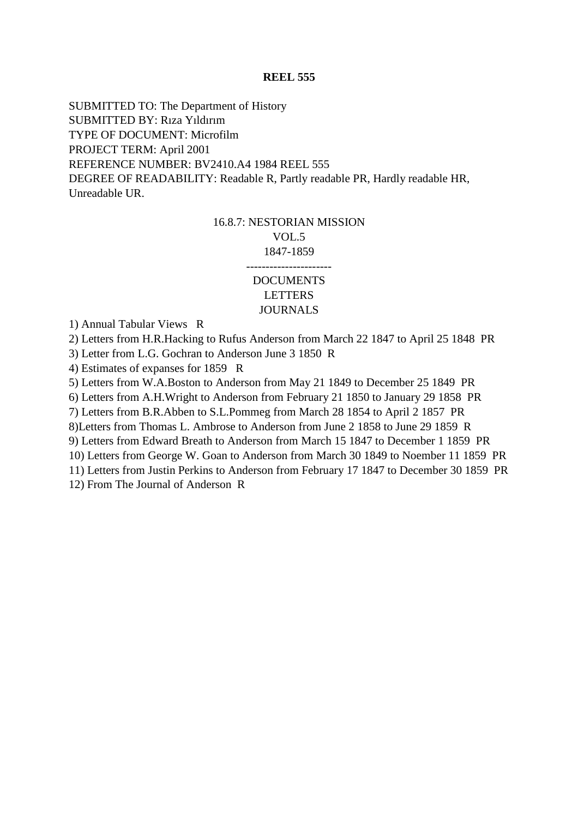SUBMITTED TO: The Department of History SUBMITTED BY: Rıza Yıldırım TYPE OF DOCUMENT: Microfilm PROJECT TERM: April 2001 REFERENCE NUMBER: BV2410.A4 1984 REEL 555 DEGREE OF READABILITY: Readable R, Partly readable PR, Hardly readable HR, Unreadable UR.

# 16.8.7: NESTORIAN MISSION VOL.5 1847-1859 ----------------------

### DOCUMENTS LETTERS JOURNALS

1) Annual Tabular Views R

2) Letters from H.R.Hacking to Rufus Anderson from March 22 1847 to April 25 1848 PR

3) Letter from L.G. Gochran to Anderson June 3 1850 R

4) Estimates of expanses for 1859 R

5) Letters from W.A.Boston to Anderson from May 21 1849 to December 25 1849 PR

6) Letters from A.H.Wright to Anderson from February 21 1850 to January 29 1858 PR

7) Letters from B.R.Abben to S.L.Pommeg from March 28 1854 to April 2 1857 PR

8)Letters from Thomas L. Ambrose to Anderson from June 2 1858 to June 29 1859 R

9) Letters from Edward Breath to Anderson from March 15 1847 to December 1 1859 PR

10) Letters from George W. Goan to Anderson from March 30 1849 to Noember 11 1859 PR

11) Letters from Justin Perkins to Anderson from February 17 1847 to December 30 1859 PR 12) From The Journal of Anderson R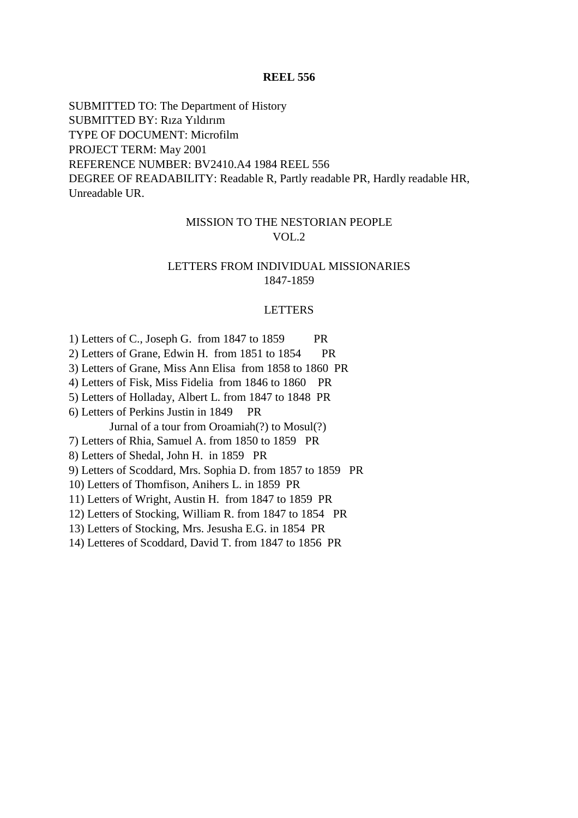SUBMITTED TO: The Department of History SUBMITTED BY: Rıza Yıldırım TYPE OF DOCUMENT: Microfilm PROJECT TERM: May 2001 REFERENCE NUMBER: BV2410.A4 1984 REEL 556 DEGREE OF READABILITY: Readable R, Partly readable PR, Hardly readable HR, Unreadable UR.

### MISSION TO THE NESTORIAN PEOPLE VOL.2

#### LETTERS FROM INDIVIDUAL MISSIONARIES 1847-1859

#### LETTERS

1) Letters of C., Joseph G. from 1847 to 1859 PR

2) Letters of Grane, Edwin H. from 1851 to 1854 PR

3) Letters of Grane, Miss Ann Elisa from 1858 to 1860 PR

4) Letters of Fisk, Miss Fidelia from 1846 to 1860 PR

5) Letters of Holladay, Albert L. from 1847 to 1848 PR

6) Letters of Perkins Justin in 1849 PR

Jurnal of a tour from Oroamiah(?) to Mosul(?)

7) Letters of Rhia, Samuel A. from 1850 to 1859 PR

8) Letters of Shedal, John H. in 1859 PR

9) Letters of Scoddard, Mrs. Sophia D. from 1857 to 1859 PR

10) Letters of Thomfison, Anihers L. in 1859 PR

11) Letters of Wright, Austin H. from 1847 to 1859 PR

12) Letters of Stocking, William R. from 1847 to 1854 PR

13) Letters of Stocking, Mrs. Jesusha E.G. in 1854 PR

14) Letteres of Scoddard, David T. from 1847 to 1856 PR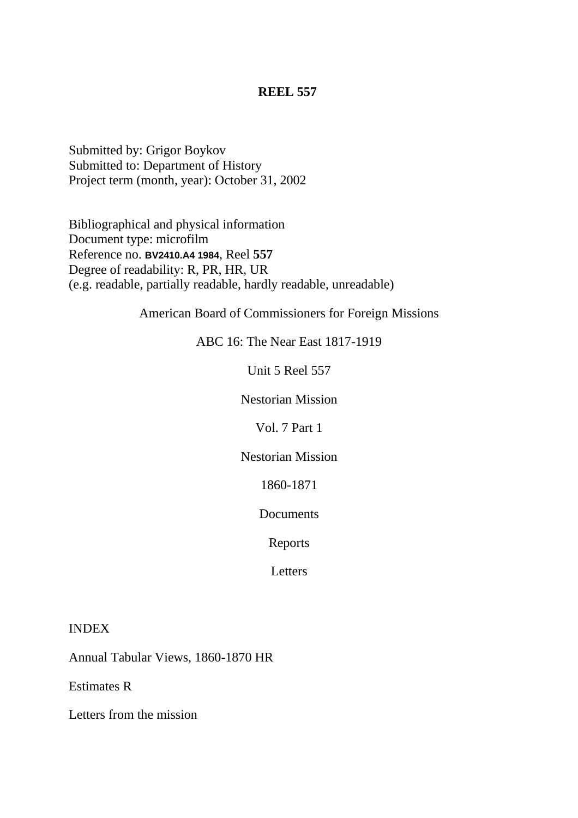Submitted by: Grigor Boykov Submitted to: Department of History Project term (month, year): October 31, 2002

Bibliographical and physical information Document type: microfilm Reference no. **BV2410.A4 1984**, Reel **557** Degree of readability: R, PR, HR, UR (e.g. readable, partially readable, hardly readable, unreadable)

American Board of Commissioners for Foreign Missions

ABC 16: The Near East 1817-1919

Unit 5 Reel 557

Nestorian Mission

Vol. 7 Part 1

Nestorian Mission

1860-1871

Documents

Reports

**Letters** 

INDEX

Annual Tabular Views, 1860-1870 HR

Estimates R

Letters from the mission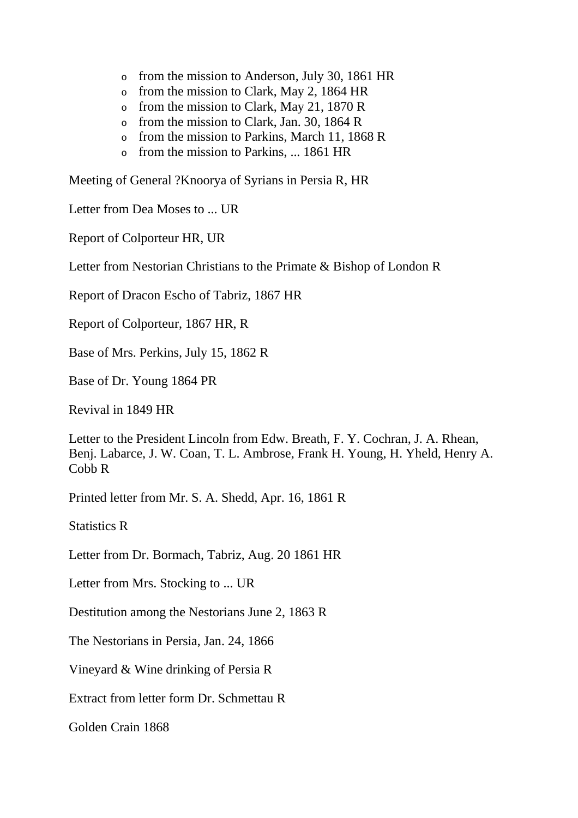- o from the mission to Anderson, July 30, 1861 HR
- o from the mission to Clark, May 2, 1864 HR
- o from the mission to Clark, May 21, 1870 R
- o from the mission to Clark, Jan. 30, 1864 R
- o from the mission to Parkins, March 11, 1868 R
- o from the mission to Parkins, ... 1861 HR

Meeting of General ?Knoorya of Syrians in Persia R, HR

Letter from Dea Moses to ... UR

Report of Colporteur HR, UR

Letter from Nestorian Christians to the Primate & Bishop of London R

Report of Dracon Escho of Tabriz, 1867 HR

Report of Colporteur, 1867 HR, R

Base of Mrs. Perkins, July 15, 1862 R

Base of Dr. Young 1864 PR

Revival in 1849 HR

Letter to the President Lincoln from Edw. Breath, F. Y. Cochran, J. A. Rhean, Benj. Labarce, J. W. Coan, T. L. Ambrose, Frank H. Young, H. Yheld, Henry A. Cobb R

Printed letter from Mr. S. A. Shedd, Apr. 16, 1861 R

Statistics R

Letter from Dr. Bormach, Tabriz, Aug. 20 1861 HR

Letter from Mrs. Stocking to ... UR

Destitution among the Nestorians June 2, 1863 R

The Nestorians in Persia, Jan. 24, 1866

Vineyard & Wine drinking of Persia R

Extract from letter form Dr. Schmettau R

Golden Crain 1868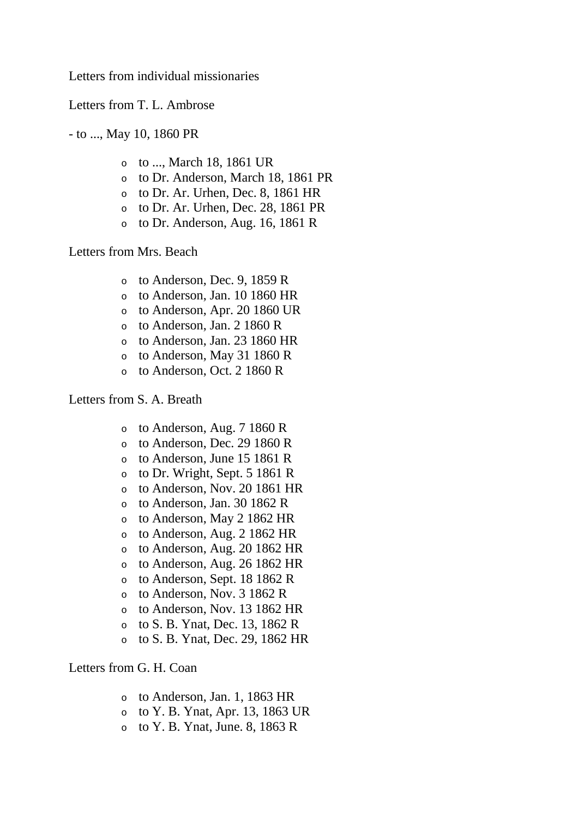Letters from individual missionaries

Letters from T. L. Ambrose

- to ..., May 10, 1860 PR

- o to ..., March 18, 1861 UR
- o to Dr. Anderson, March 18, 1861 PR
- o to Dr. Ar. Urhen, Dec. 8, 1861 HR
- o to Dr. Ar. Urhen, Dec. 28, 1861 PR
- o to Dr. Anderson, Aug. 16, 1861 R

Letters from Mrs. Beach

- o to Anderson, Dec. 9, 1859 R
- o to Anderson, Jan. 10 1860 HR
- o to Anderson, Apr. 20 1860 UR
- o to Anderson, Jan. 2 1860 R
- o to Anderson, Jan. 23 1860 HR
- o to Anderson, May 31 1860 R
- o to Anderson, Oct. 2 1860 R

# Letters from S. A. Breath

- o to Anderson, Aug. 7 1860 R
- o to Anderson, Dec. 29 1860 R
- o to Anderson, June 15 1861 R
- o to Dr. Wright, Sept. 5 1861 R
- o to Anderson, Nov. 20 1861 HR
- o to Anderson, Jan. 30 1862 R
- o to Anderson, May 2 1862 HR
- o to Anderson, Aug. 2 1862 HR
- o to Anderson, Aug. 20 1862 HR
- o to Anderson, Aug. 26 1862 HR
- o to Anderson, Sept. 18 1862 R
- o to Anderson, Nov. 3 1862 R
- o to Anderson, Nov. 13 1862 HR
- o to S. B. Ynat, Dec. 13, 1862 R
- o to S. B. Ynat, Dec. 29, 1862 HR

# Letters from G. H. Coan

- o to Anderson, Jan. 1, 1863 HR
- o to Y. B. Ynat, Apr. 13, 1863 UR
- $\circ$  to Y. B. Ynat, June. 8, 1863 R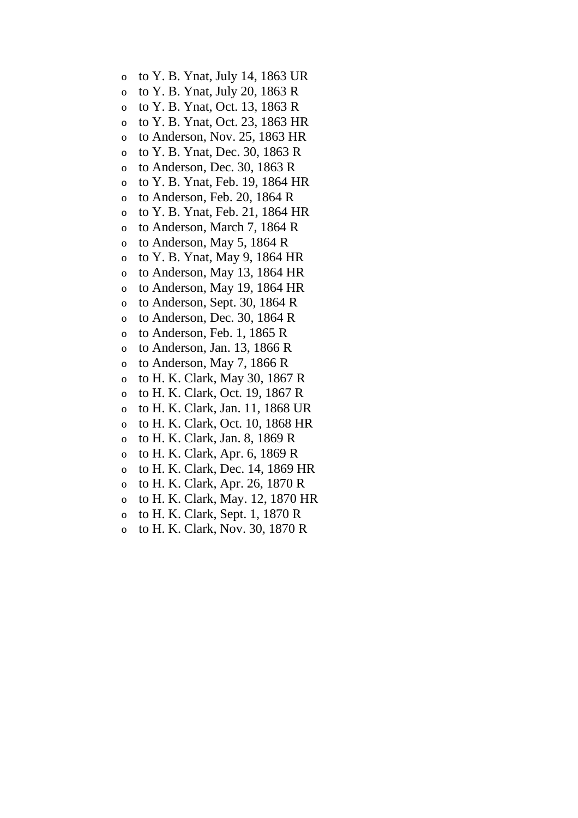- o to Y. B. Ynat, July 14, 1863 UR
- o to Y. B. Ynat, July 20, 1863 R
- o to Y. B. Ynat, Oct. 13, 1863 R
- o to Y. B. Ynat, Oct. 23, 1863 HR
- o to Anderson, Nov. 25, 1863 HR
- o to Y. B. Ynat, Dec. 30, 1863 R
- o to Anderson, Dec. 30, 1863 R
- o to Y. B. Ynat, Feb. 19, 1864 HR
- o to Anderson, Feb. 20, 1864 R
- o to Y. B. Ynat, Feb. 21, 1864 HR
- o to Anderson, March 7, 1864 R
- o to Anderson, May 5, 1864 R
- $\circ$  to Y. B. Ynat, May 9, 1864 HR
- o to Anderson, May 13, 1864 HR
- o to Anderson, May 19, 1864 HR
- o to Anderson, Sept. 30, 1864 R
- o to Anderson, Dec. 30, 1864 R
- o to Anderson, Feb. 1, 1865 R
- o to Anderson, Jan. 13, 1866 R
- o to Anderson, May 7, 1866 R
- o to H. K. Clark, May 30, 1867 R
- o to H. K. Clark, Oct. 19, 1867 R
- o to H. K. Clark, Jan. 11, 1868 UR
- o to H. K. Clark, Oct. 10, 1868 HR
- o to H. K. Clark, Jan. 8, 1869 R
- o to H. K. Clark, Apr. 6, 1869 R
- o to H. K. Clark, Dec. 14, 1869 HR
- o to H. K. Clark, Apr. 26, 1870 R
- o to H. K. Clark, May. 12, 1870 HR
- o to H. K. Clark, Sept. 1, 1870 R
- o to H. K. Clark, Nov. 30, 1870 R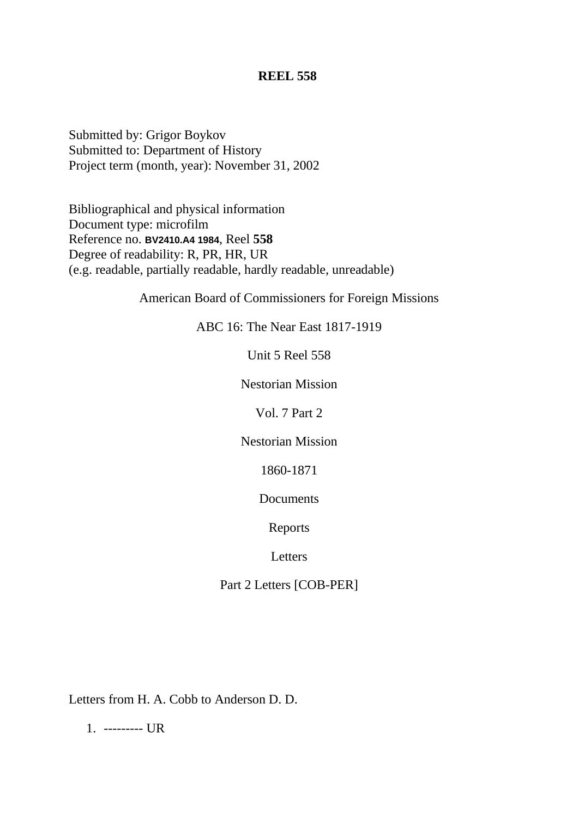Submitted by: Grigor Boykov Submitted to: Department of History Project term (month, year): November 31, 2002

Bibliographical and physical information Document type: microfilm Reference no. **BV2410.A4 1984**, Reel **558** Degree of readability: R, PR, HR, UR (e.g. readable, partially readable, hardly readable, unreadable)

American Board of Commissioners for Foreign Missions

ABC 16: The Near East 1817-1919

Unit 5 Reel 558

Nestorian Mission

Vol. 7 Part 2

Nestorian Mission

1860-1871

Documents

Reports

Letters

Part 2 Letters [COB-PER]

Letters from H. A. Cobb to Anderson D. D.

1. --------- UR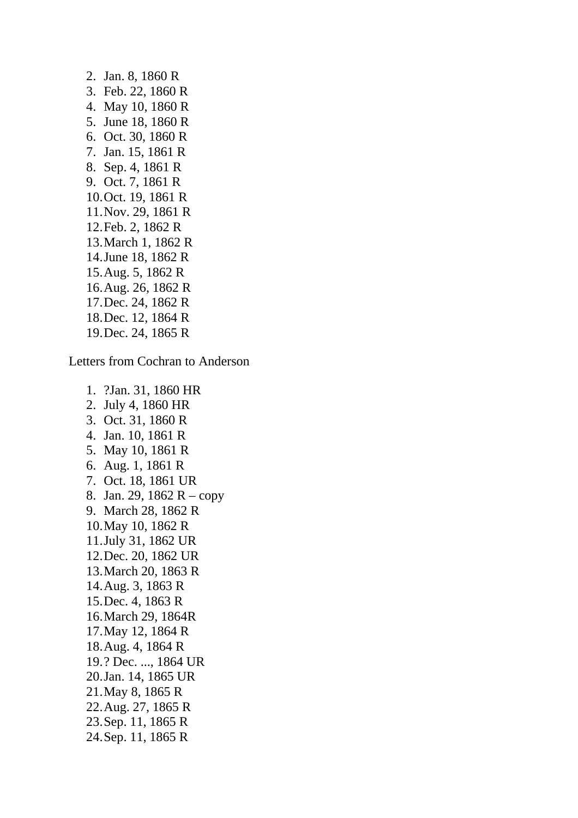2. Jan. 8, 1860 R 3. Feb. 22, 1860 R 4. May 10, 1860 R 5. June 18, 1860 R 6. Oct. 30, 1860 R 7. Jan. 15, 1861 R 8. Sep. 4, 1861 R 9. Oct. 7, 1861 R 10.Oct. 19, 1861 R 11.Nov. 29, 1861 R 12.Feb. 2, 1862 R 13.March 1, 1862 R 14.June 18, 1862 R 15.Aug. 5, 1862 R 16.Aug. 26, 1862 R 17.Dec. 24, 1862 R 18.Dec. 12, 1864 R 19.Dec. 24, 1865 R

Letters from Cochran to Anderson

1. ?Jan. 31, 1860 HR 2. July 4, 1860 HR 3. Oct. 31, 1860 R 4. Jan. 10, 1861 R 5. May 10, 1861 R 6. Aug. 1, 1861 R 7. Oct. 18, 1861 UR 8. Jan. 29, 1862 R – copy 9. March 28, 1862 R 10.May 10, 1862 R 11.July 31, 1862 UR 12.Dec. 20, 1862 UR 13.March 20, 1863 R 14.Aug. 3, 1863 R 15.Dec. 4, 1863 R 16.March 29, 1864R 17.May 12, 1864 R 18.Aug. 4, 1864 R 19.? Dec. ..., 1864 UR 20.Jan. 14, 1865 UR 21.May 8, 1865 R 22.Aug. 27, 1865 R 23.Sep. 11, 1865 R 24.Sep. 11, 1865 R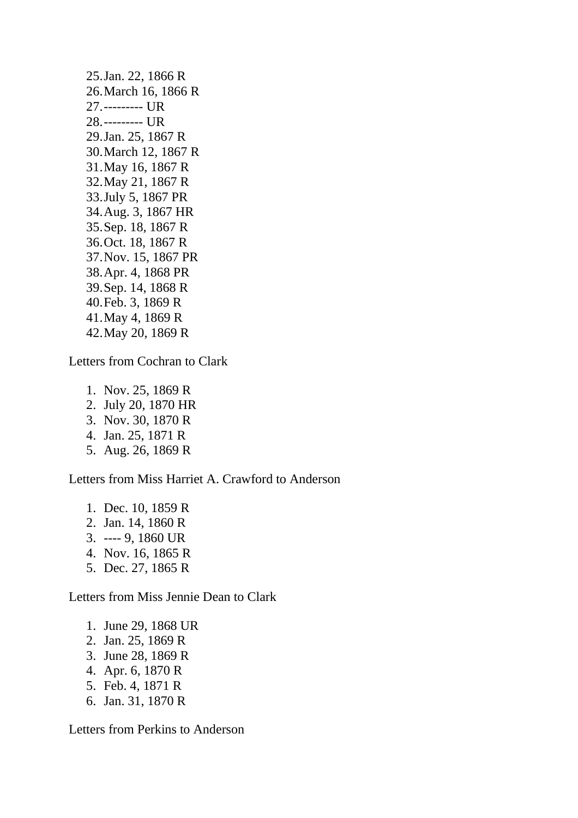25.Jan. 22, 1866 R 26.March 16, 1866 R 27.--------- UR 28.--------- UR 29.Jan. 25, 1867 R 30.March 12, 1867 R 31.May 16, 1867 R 32.May 21, 1867 R 33.July 5, 1867 PR 34.Aug. 3, 1867 HR 35.Sep. 18, 1867 R 36.Oct. 18, 1867 R 37.Nov. 15, 1867 PR 38.Apr. 4, 1868 PR 39.Sep. 14, 1868 R 40.Feb. 3, 1869 R 41.May 4, 1869 R 42.May 20, 1869 R

Letters from Cochran to Clark

1. Nov. 25, 1869 R 2. July 20, 1870 HR 3. Nov. 30, 1870 R 4. Jan. 25, 1871 R 5. Aug. 26, 1869 R

Letters from Miss Harriet A. Crawford to Anderson

1. Dec. 10, 1859 R 2. Jan. 14, 1860 R 3. ---- 9, 1860 UR 4. Nov. 16, 1865 R 5. Dec. 27, 1865 R

Letters from Miss Jennie Dean to Clark

- 1. June 29, 1868 UR
- 2. Jan. 25, 1869 R
- 3. June 28, 1869 R
- 4. Apr. 6, 1870 R
- 5. Feb. 4, 1871 R
- 6. Jan. 31, 1870 R

Letters from Perkins to Anderson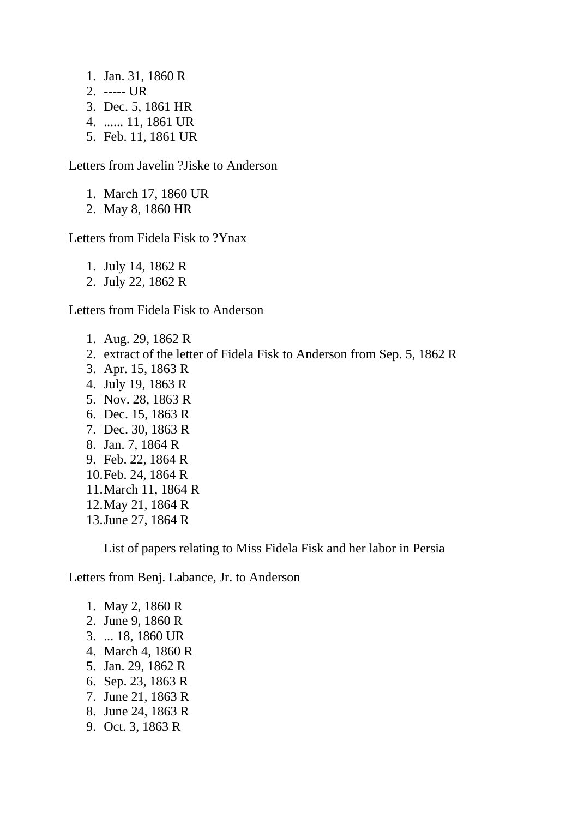- 1. Jan. 31, 1860 R
- 2. ----- UR
- 3. Dec. 5, 1861 HR
- 4. ...... 11, 1861 UR
- 5. Feb. 11, 1861 UR

Letters from Javelin ?Jiske to Anderson

- 1. March 17, 1860 UR
- 2. May 8, 1860 HR

Letters from Fidela Fisk to ?Ynax

1. July 14, 1862 R

2. July 22, 1862 R

Letters from Fidela Fisk to Anderson

1. Aug. 29, 1862 R 2. extract of the letter of Fidela Fisk to Anderson from Sep. 5, 1862 R 3. Apr. 15, 1863 R 4. July 19, 1863 R 5. Nov. 28, 1863 R 6. Dec. 15, 1863 R 7. Dec. 30, 1863 R 8. Jan. 7, 1864 R 9. Feb. 22, 1864 R 10.Feb. 24, 1864 R 11.March 11, 1864 R 12.May 21, 1864 R 13.June 27, 1864 R

List of papers relating to Miss Fidela Fisk and her labor in Persia

Letters from Benj. Labance, Jr. to Anderson

- 1. May 2, 1860 R
- 2. June 9, 1860 R
- 3. ... 18, 1860 UR
- 4. March 4, 1860 R
- 5. Jan. 29, 1862 R
- 6. Sep. 23, 1863 R
- 7. June 21, 1863 R
- 8. June 24, 1863 R
- 9. Oct. 3, 1863 R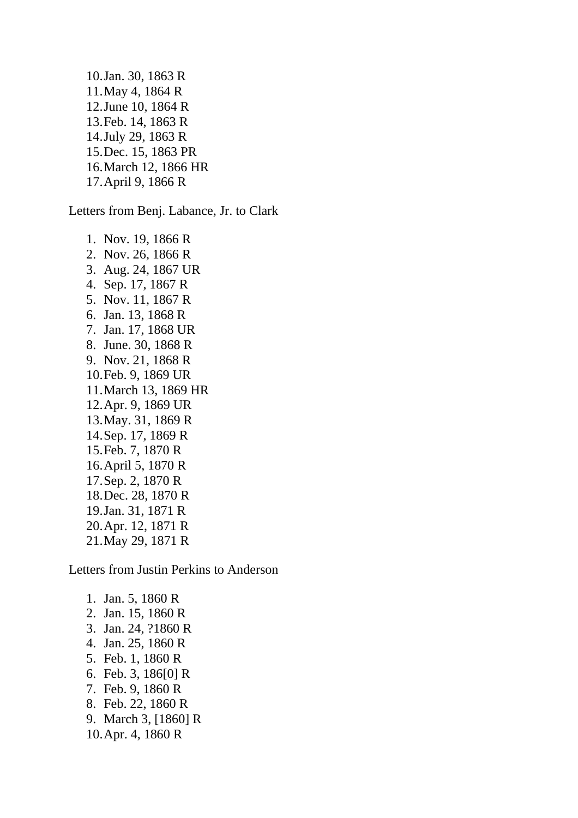10.Jan. 30, 1863 R 11.May 4, 1864 R 12.June 10, 1864 R 13.Feb. 14, 1863 R 14.July 29, 1863 R 15.Dec. 15, 1863 PR 16.March 12, 1866 HR 17.April 9, 1866 R

Letters from Benj. Labance, Jr. to Clark

1. Nov. 19, 1866 R 2. Nov. 26, 1866 R 3. Aug. 24, 1867 UR 4. Sep. 17, 1867 R 5. Nov. 11, 1867 R 6. Jan. 13, 1868 R 7. Jan. 17, 1868 UR 8. June. 30, 1868 R 9. Nov. 21, 1868 R 10.Feb. 9, 1869 UR 11.March 13, 1869 HR 12.Apr. 9, 1869 UR 13.May. 31, 1869 R 14.Sep. 17, 1869 R 15.Feb. 7, 1870 R 16.April 5, 1870 R 17.Sep. 2, 1870 R 18.Dec. 28, 1870 R 19.Jan. 31, 1871 R 20.Apr. 12, 1871 R 21.May 29, 1871 R

Letters from Justin Perkins to Anderson

1. Jan. 5, 1860 R 2. Jan. 15, 1860 R 3. Jan. 24, ?1860 R 4. Jan. 25, 1860 R 5. Feb. 1, 1860 R 6. Feb. 3, 186[0] R 7. Feb. 9, 1860 R 8. Feb. 22, 1860 R 9. March 3, [1860] R 10.Apr. 4, 1860 R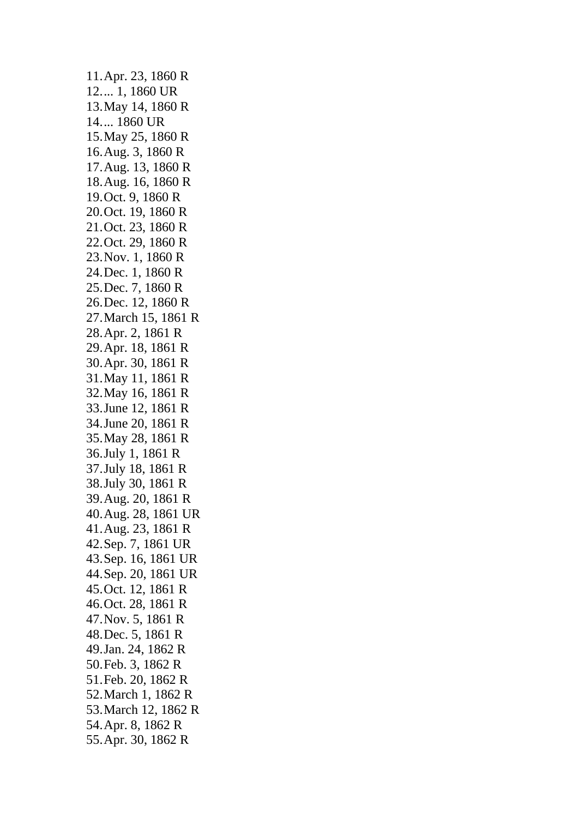11.Apr. 23, 1860 R 12.... 1, 1860 UR 13.May 14, 1860 R 14.... 1860 UR 15.May 25, 1860 R 16.Aug. 3, 1860 R 17.Aug. 13, 1860 R 18.Aug. 16, 1860 R 19.Oct. 9, 1860 R 20.Oct. 19, 1860 R 21.Oct. 23, 1860 R 22.Oct. 29, 1860 R 23.Nov. 1, 1860 R 24.Dec. 1, 1860 R 25.Dec. 7, 1860 R 26.Dec. 12, 1860 R 27.March 15, 1861 R 28.Apr. 2, 1861 R 29.Apr. 18, 1861 R 30.Apr. 30, 1861 R 31.May 11, 1861 R 32.May 16, 1861 R 33.June 12, 1861 R 34.June 20, 1861 R 35.May 28, 1861 R 36.July 1, 1861 R 37.July 18, 1861 R 38.July 30, 1861 R 39.Aug. 20, 1861 R 40.Aug. 28, 1861 UR 41.Aug. 23, 1861 R 42.Sep. 7, 1861 UR 43.Sep. 16, 1861 UR 44.Sep. 20, 1861 UR 45.Oct. 12, 1861 R 46.Oct. 28, 1861 R 47.Nov. 5, 1861 R 48.Dec. 5, 1861 R 49.Jan. 24, 1862 R 50.Feb. 3, 1862 R 51.Feb. 20, 1862 R 52.March 1, 1862 R 53.March 12, 1862 R 54.Apr. 8, 1862 R 55.Apr. 30, 1862 R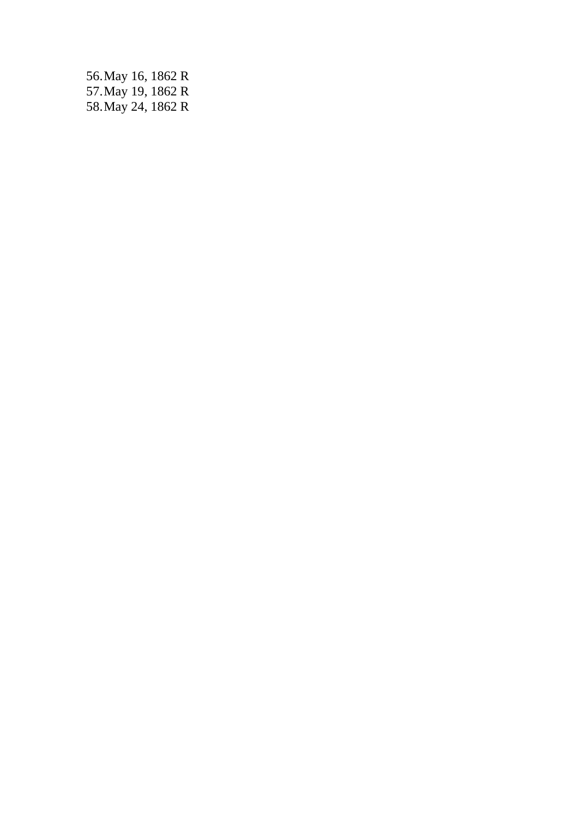56.May 16, 1862 R 57.May 19, 1862 R 58.May 24, 1862 R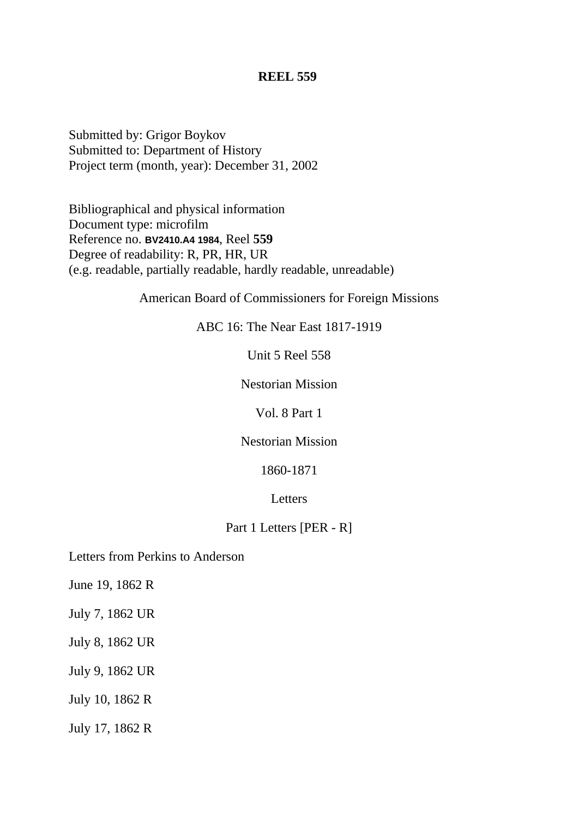Submitted by: Grigor Boykov Submitted to: Department of History Project term (month, year): December 31, 2002

Bibliographical and physical information Document type: microfilm Reference no. **BV2410.A4 1984**, Reel **559** Degree of readability: R, PR, HR, UR (e.g. readable, partially readable, hardly readable, unreadable)

American Board of Commissioners for Foreign Missions

ABC 16: The Near East 1817-1919

Unit 5 Reel 558

Nestorian Mission

Vol. 8 Part 1

Nestorian Mission

1860-1871

Letters

### Part 1 Letters [PER - R]

Letters from Perkins to Anderson

June 19, 1862 R

July 7, 1862 UR

July 8, 1862 UR

July 9, 1862 UR

July 10, 1862 R

July 17, 1862 R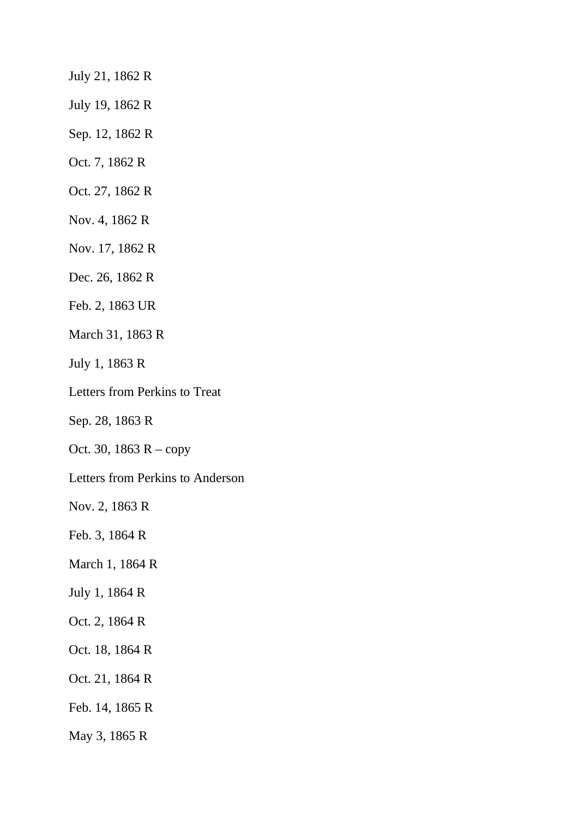July 21, 1862 R

July 19, 1862 R

- Sep. 12, 1862 R
- Oct. 7, 1862 R
- Oct. 27, 1862 R
- Nov. 4, 1862 R
- Nov. 17, 1862 R
- Dec. 26, 1862 R
- Feb. 2, 1863 UR
- March 31, 1863 R
- July 1, 1863 R
- Letters from Perkins to Treat
- Sep. 28, 1863 R
- Oct. 30, 1863 R copy
- Letters from Perkins to Anderson

Nov. 2, 1863 R

- Feb. 3, 1864 R
- March 1, 1864 R
- July 1, 1864 R
- Oct. 2, 1864 R
- Oct. 18, 1864 R
- Oct. 21, 1864 R
- Feb. 14, 1865 R
- May 3, 1865 R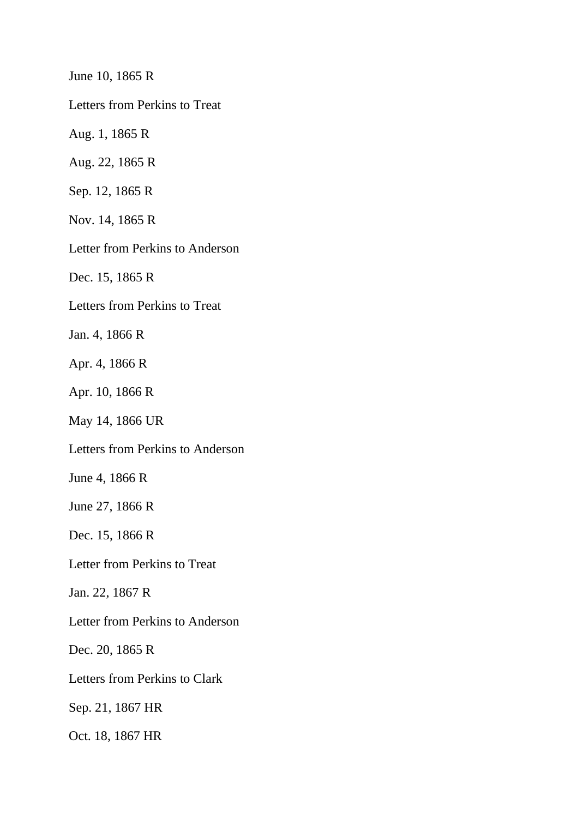June 10, 1865 R

Letters from Perkins to Treat

Aug. 1, 1865 R

Aug. 22, 1865 R

Sep. 12, 1865 R

Nov. 14, 1865 R

Letter from Perkins to Anderson

Dec. 15, 1865 R

Letters from Perkins to Treat

Jan. 4, 1866 R

Apr. 4, 1866 R

Apr. 10, 1866 R

May 14, 1866 UR

Letters from Perkins to Anderson

June 4, 1866 R

June 27, 1866 R

Dec. 15, 1866 R

Letter from Perkins to Treat

Jan. 22, 1867 R

Letter from Perkins to Anderson

Dec. 20, 1865 R

Letters from Perkins to Clark

Sep. 21, 1867 HR

Oct. 18, 1867 HR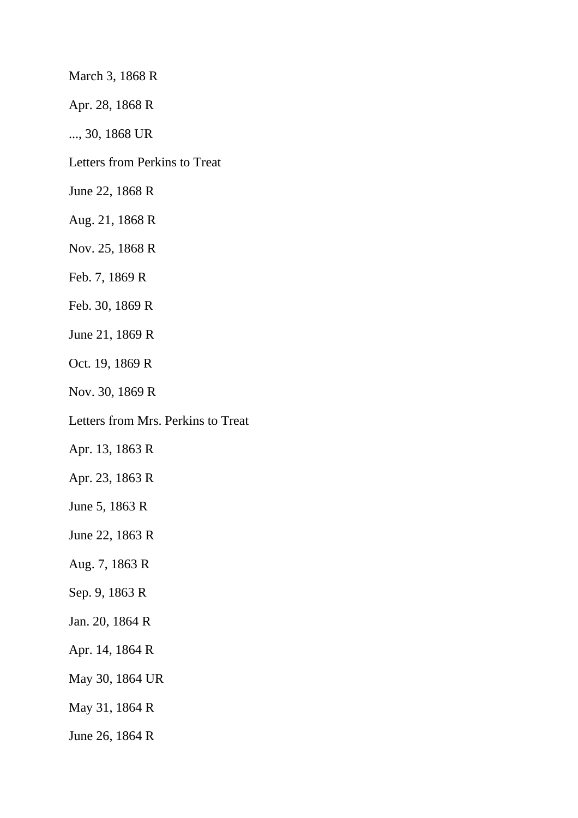March 3, 1868 R

Apr. 28, 1868 R

..., 30, 1868 UR

Letters from Perkins to Treat

June 22, 1868 R

Aug. 21, 1868 R

Nov. 25, 1868 R

Feb. 7, 1869 R

Feb. 30, 1869 R

June 21, 1869 R

Oct. 19, 1869 R

Nov. 30, 1869 R

Letters from Mrs. Perkins to Treat

Apr. 13, 1863 R

Apr. 23, 1863 R

June 5, 1863 R

June 22, 1863 R

Aug. 7, 1863 R

Sep. 9, 1863 R

Jan. 20, 1864 R

Apr. 14, 1864 R

May 30, 1864 UR

May 31, 1864 R

June 26, 1864 R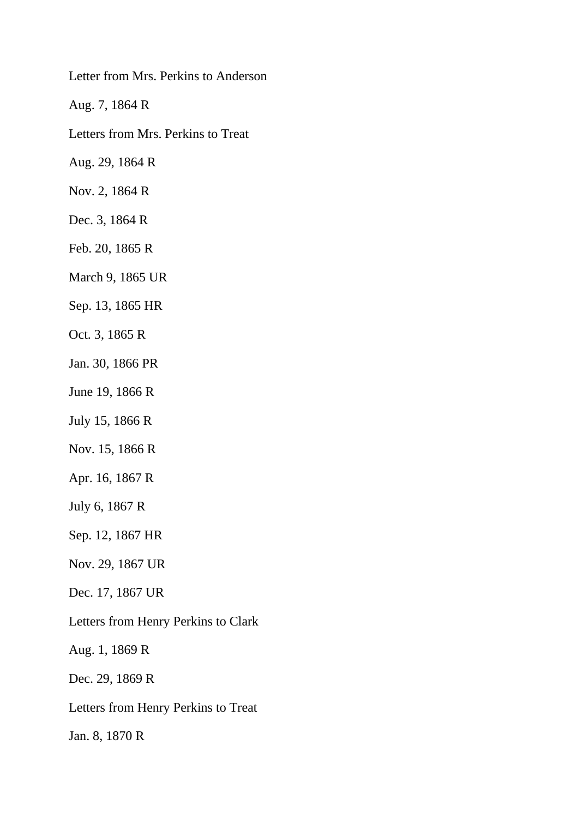Letter from Mrs. Perkins to Anderson

Aug. 7, 1864 R

Letters from Mrs. Perkins to Treat

Aug. 29, 1864 R

Nov. 2, 1864 R

Dec. 3, 1864 R

Feb. 20, 1865 R

March 9, 1865 UR

Sep. 13, 1865 HR

Oct. 3, 1865 R

Jan. 30, 1866 PR

June 19, 1866 R

July 15, 1866 R

Nov. 15, 1866 R

Apr. 16, 1867 R

July 6, 1867 R

Sep. 12, 1867 HR

Nov. 29, 1867 UR

Dec. 17, 1867 UR

Letters from Henry Perkins to Clark

Aug. 1, 1869 R

Dec. 29, 1869 R

Letters from Henry Perkins to Treat

Jan. 8, 1870 R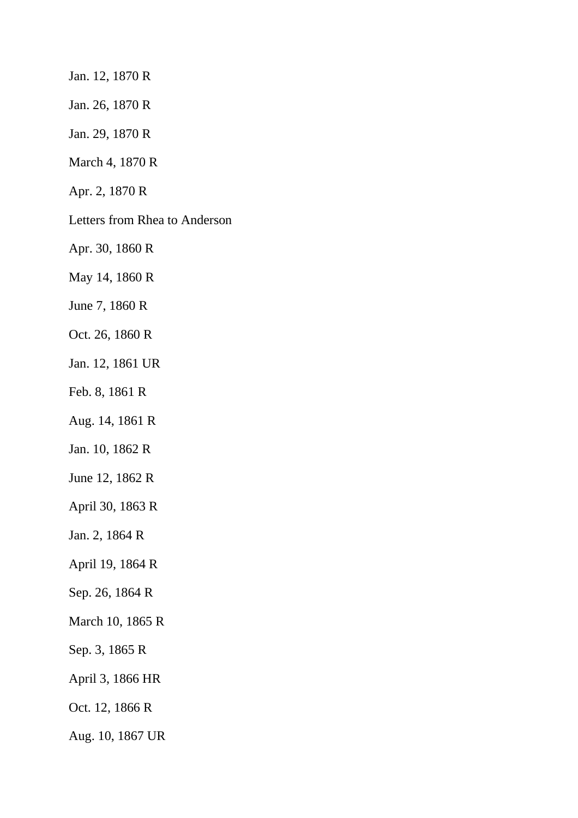Jan. 12, 1870 R

Jan. 26, 1870 R

Jan. 29, 1870 R

March 4, 1870 R

Apr. 2, 1870 R

Letters from Rhea to Anderson

Apr. 30, 1860 R

May 14, 1860 R

June 7, 1860 R

Oct. 26, 1860 R

Jan. 12, 1861 UR

Feb. 8, 1861 R

Aug. 14, 1861 R

Jan. 10, 1862 R

June 12, 1862 R

April 30, 1863 R

Jan. 2, 1864 R

April 19, 1864 R

Sep. 26, 1864 R

March 10, 1865 R

Sep. 3, 1865 R

April 3, 1866 HR

Oct. 12, 1866 R

Aug. 10, 1867 UR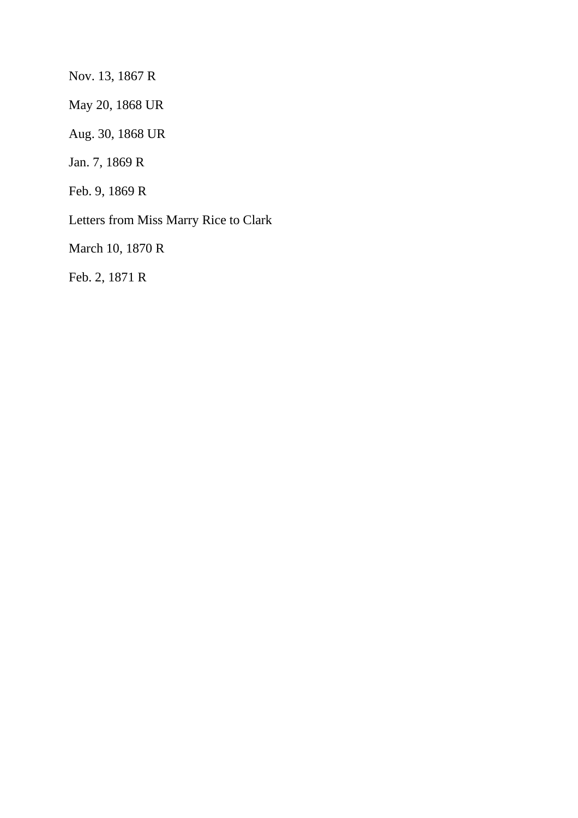Nov. 13, 1867 R

May 20, 1868 UR

Aug. 30, 1868 UR

Jan. 7, 1869 R

Feb. 9, 1869 R

Letters from Miss Marry Rice to Clark

March 10, 1870 R

Feb. 2, 1871 R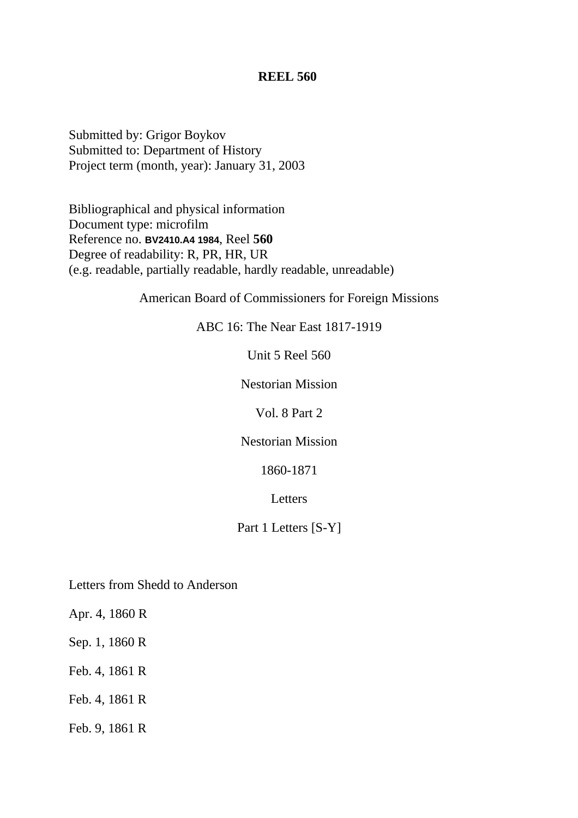Submitted by: Grigor Boykov Submitted to: Department of History Project term (month, year): January 31, 2003

Bibliographical and physical information Document type: microfilm Reference no. **BV2410.A4 1984**, Reel **560** Degree of readability: R, PR, HR, UR (e.g. readable, partially readable, hardly readable, unreadable)

American Board of Commissioners for Foreign Missions

ABC 16: The Near East 1817-1919

Unit 5 Reel 560

Nestorian Mission

Vol. 8 Part 2

Nestorian Mission

1860-1871

Letters

Part 1 Letters [S-Y]

Letters from Shedd to Anderson

Apr. 4, 1860 R

Sep. 1, 1860 R

Feb. 4, 1861 R

Feb. 4, 1861 R

Feb. 9, 1861 R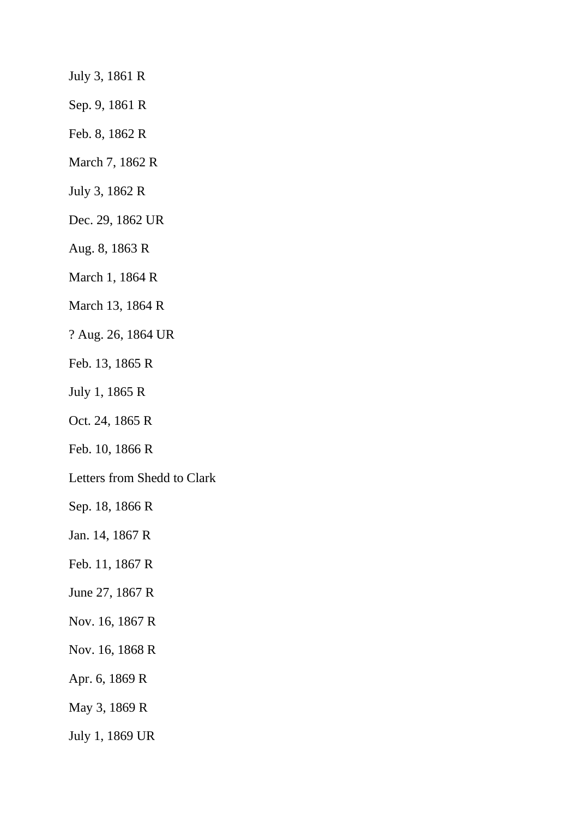July 3, 1861 R

Sep. 9, 1861 R

Feb. 8, 1862 R

March 7, 1862 R

July 3, 1862 R

Dec. 29, 1862 UR

Aug. 8, 1863 R

March 1, 1864 R

March 13, 1864 R

? Aug. 26, 1864 UR

Feb. 13, 1865 R

July 1, 1865 R

Oct. 24, 1865 R

Feb. 10, 1866 R

Letters from Shedd to Clark

Sep. 18, 1866 R

Jan. 14, 1867 R

Feb. 11, 1867 R

June 27, 1867 R

Nov. 16, 1867 R

Nov. 16, 1868 R

Apr. 6, 1869 R

May 3, 1869 R

July 1, 1869 UR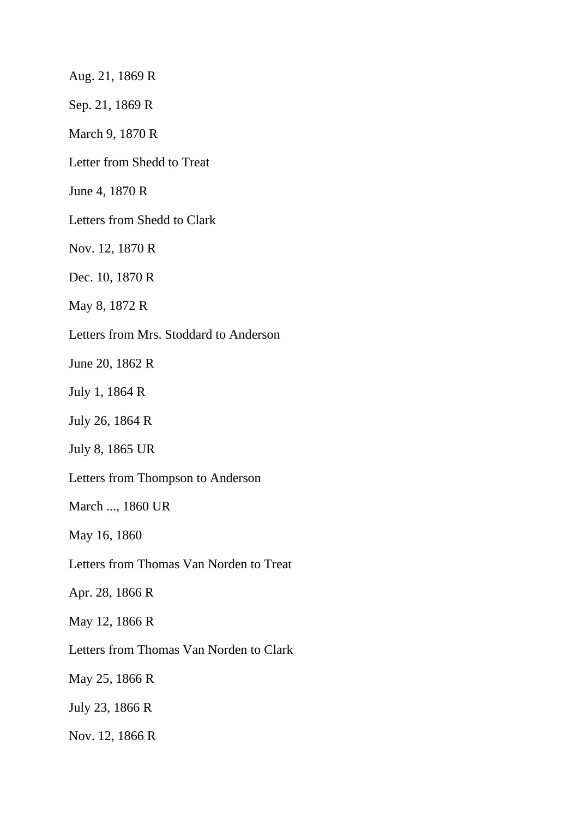Aug. 21, 1869 R

Sep. 21, 1869 R

March 9, 1870 R

Letter from Shedd to Treat

June 4, 1870 R

Letters from Shedd to Clark

Nov. 12, 1870 R

Dec. 10, 1870 R

May 8, 1872 R

Letters from Mrs. Stoddard to Anderson

June 20, 1862 R

July 1, 1864 R

July 26, 1864 R

July 8, 1865 UR

Letters from Thompson to Anderson

March ..., 1860 UR

May 16, 1860

Letters from Thomas Van Norden to Treat

Apr. 28, 1866 R

May 12, 1866 R

Letters from Thomas Van Norden to Clark

May 25, 1866 R

July 23, 1866 R

Nov. 12, 1866 R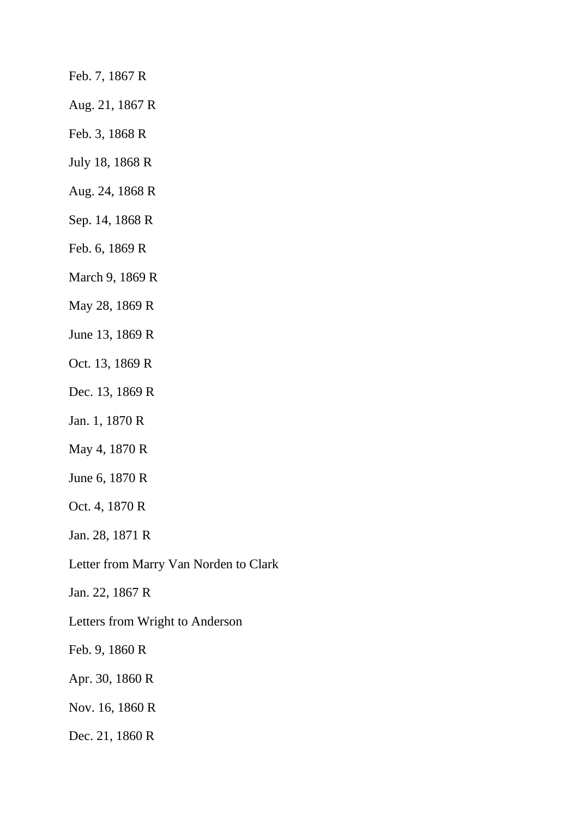Feb. 7, 1867 R

Aug. 21, 1867 R

Feb. 3, 1868 R

July 18, 1868 R

Aug. 24, 1868 R

Sep. 14, 1868 R

Feb. 6, 1869 R

March 9, 1869 R

May 28, 1869 R

June 13, 1869 R

Oct. 13, 1869 R

Dec. 13, 1869 R

Jan. 1, 1870 R

May 4, 1870 R

June 6, 1870 R

Oct. 4, 1870 R

Jan. 28, 1871 R

Letter from Marry Van Norden to Clark

Jan. 22, 1867 R

Letters from Wright to Anderson

Feb. 9, 1860 R

Apr. 30, 1860 R

Nov. 16, 1860 R

Dec. 21, 1860 R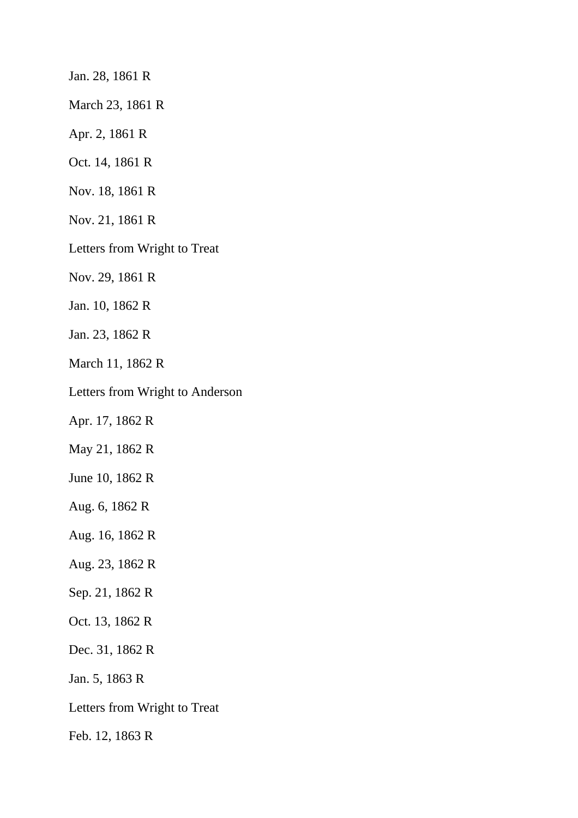Jan. 28, 1861 R

March 23, 1861 R

Apr. 2, 1861 R

Oct. 14, 1861 R

Nov. 18, 1861 R

Nov. 21, 1861 R

Letters from Wright to Treat

Nov. 29, 1861 R

Jan. 10, 1862 R

Jan. 23, 1862 R

March 11, 1862 R

Letters from Wright to Anderson

Apr. 17, 1862 R

May 21, 1862 R

June 10, 1862 R

Aug. 6, 1862 R

Aug. 16, 1862 R

Aug. 23, 1862 R

Sep. 21, 1862 R

Oct. 13, 1862 R

Dec. 31, 1862 R

Jan. 5, 1863 R

Letters from Wright to Treat

Feb. 12, 1863 R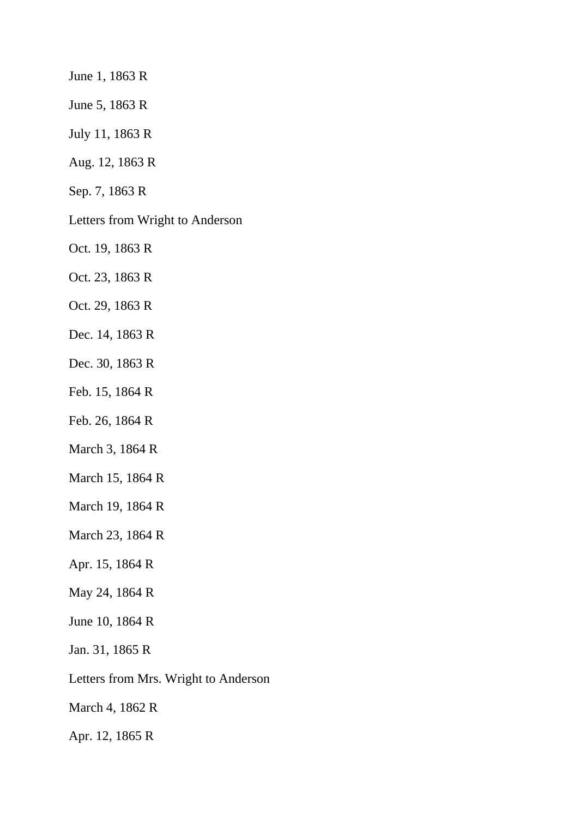June 1, 1863 R

June 5, 1863 R

July 11, 1863 R

Aug. 12, 1863 R

Sep. 7, 1863 R

Letters from Wright to Anderson

Oct. 19, 1863 R

Oct. 23, 1863 R

Oct. 29, 1863 R

Dec. 14, 1863 R

Dec. 30, 1863 R

Feb. 15, 1864 R

Feb. 26, 1864 R

March 3, 1864 R

March 15, 1864 R

March 19, 1864 R

March 23, 1864 R

Apr. 15, 1864 R

May 24, 1864 R

June 10, 1864 R

Jan. 31, 1865 R

Letters from Mrs. Wright to Anderson

March 4, 1862 R

Apr. 12, 1865 R